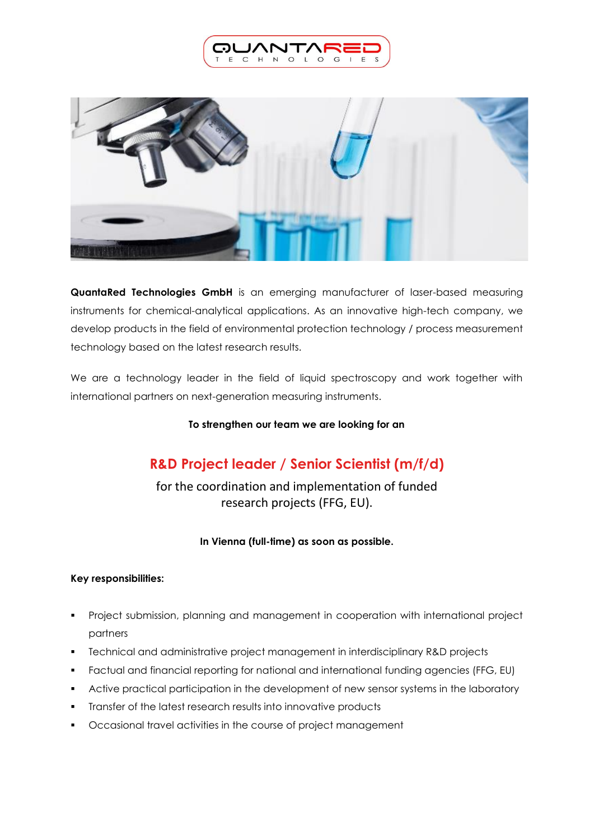



**QuantaRed Technologies GmbH** is an emerging manufacturer of laser-based measuring instruments for chemical-analytical applications. As an innovative high-tech company, we develop products in the field of environmental protection technology / process measurement technology based on the latest research results.

We are a technology leader in the field of liquid spectroscopy and work together with international partners on next-generation measuring instruments.

#### **To strengthen our team we are looking for an**

# **R&D Project leader / Senior Scientist (m/f/d)**

for the coordination and implementation of funded research projects (FFG, EU).

#### **In Vienna (full-time) as soon as possible.**

#### **Key responsibilities:**

- Project submission, planning and management in cooperation with international project partners
- Technical and administrative project management in interdisciplinary R&D projects
- Factual and financial reporting for national and international funding agencies (FFG, EU)
- Active practical participation in the development of new sensor systems in the laboratory
- Transfer of the latest research results into innovative products
- Occasional travel activities in the course of project management